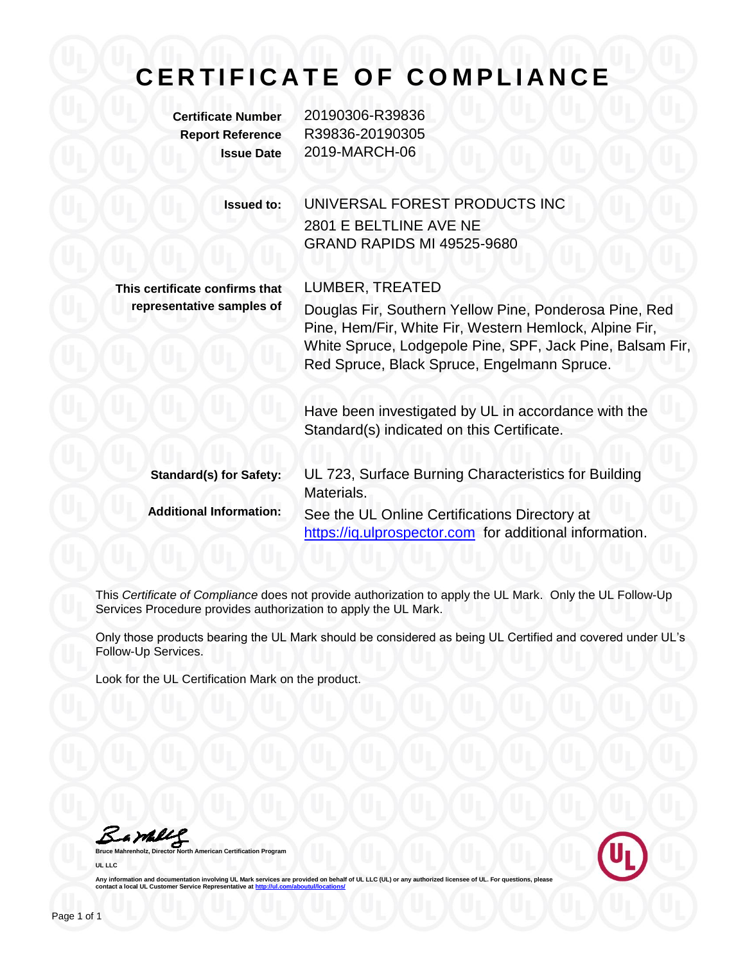## **CERTIFICATE OF COMPLIANCE**

**Certificate Number** 20190306-R39836 **Report Reference** R39836-20190305 **Issue Date** 2019-MARCH-06

| <b>Issued to:</b> | UNIVERSAL FOREST PRODUCTS INC     |
|-------------------|-----------------------------------|
|                   | 2801 E BELTLINE AVE NE            |
|                   | <b>GRAND RAPIDS MI 49525-9680</b> |
|                   |                                   |

**This certificate confirms that representative samples of**

LUMBER, TREATED Douglas Fir, Southern Yellow Pine, Ponderosa Pine, Red Pine, Hem/Fir, White Fir, Western Hemlock, Alpine Fir, White Spruce, Lodgepole Pine, SPF, Jack Pine, Balsam Fir, Red Spruce, Black Spruce, Engelmann Spruce.

Have been investigated by UL in accordance with the Standard(s) indicated on this Certificate.

| <b>Standard(s) for Safety:</b> | UL 723, Surface Burning Characteristics for Building<br>Materials.                                       |
|--------------------------------|----------------------------------------------------------------------------------------------------------|
| <b>Additional Information:</b> | See the UL Online Certifications Directory at<br>https://iq.ulprospector.com for additional information. |

This *Certificate of Compliance* does not provide authorization to apply the UL Mark. Only the UL Follow-Up Services Procedure provides authorization to apply the UL Mark.

Only those products bearing the UL Mark should be considered as being UL Certified and covered under UL's Follow-Up Services.

Look for the UL Certification Mark on the product.

Bambly

**Bruce Mannes** Certification Program **UL LLC**



Any information and documentation involving UL Mark services are provided on behalf of UL LLC (UL) or any authorized licensee of UL. For questions, please<br>contact a local UL Customer Service Representative at <u>http://ul.co</u>